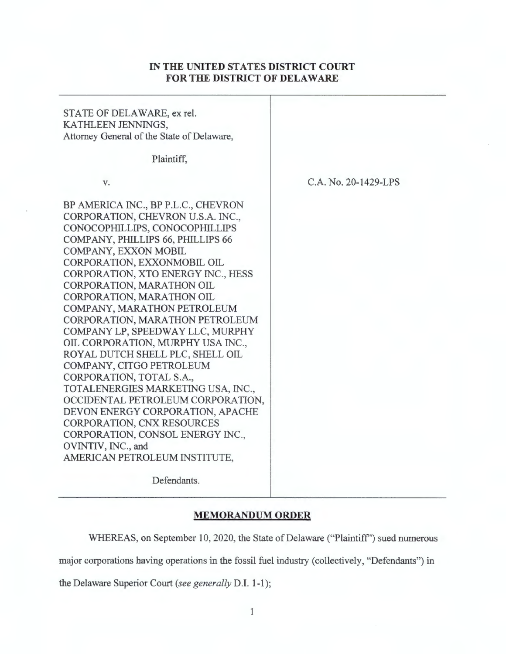## IN **THE UNITED STATES DISTRICT COURT FOR THE DISTRICT OF DELAWARE**

## STATE OF DELAWARE, ex rel. KATHLEEN JENNINGS, Attorney General of the State of Delaware, Plaintiff, V. BP AMERJCA INC., BP P.L.C., CHEVRON CORPORATION, CHEVRON U.S.A. INC., CONOCOPHILLIPS, CONOCOPHILLIPS COMPANY, PHILLIPS 66, PHILLIPS 66 COMPANY, EXXON MOBIL CORPORATION, EXXONMOBIL OIL CORPORATION, XTO ENERGY INC., HESS CORPORATION, MARATHON OIL CORPORATION, MARA THON OIL COMPANY, MARATHON PETROLEUM CORPORATION, MARA THON PETROLEUM COMPANY LP, SPEEDWAY LLC, MURPHY OIL CORPORATION, MURPHY USA INC., ROYAL DUTCH SHELL PLC, SHELL OIL COMPANY, CITGO PETROLEUM CORPORATION, TOTAL S.A., TOTALENERGIES MARKETING USA, INC., OCCIDENTAL PETROLEUM CORPORATION, DEVON ENERGY CORPORATION, APACHE CORPORATION, CNX RESOURCES CORPORATION, CONSOL ENERGY INC., OVINTIV, INC., and AMERJCAN PETROLEUM INSTITUTE, Defendants. C.A. No. 20-1429-LPS

## **MEMORANDUM ORDER**

WHEREAS, on September 10, 2020, the State of Delaware ("Plaintiff'') sued numerous

major corporations having operations in the fossil fuel industry (collectively, "Defendants") in

the Delaware Superior Court (see *generally* D.I. 1-1);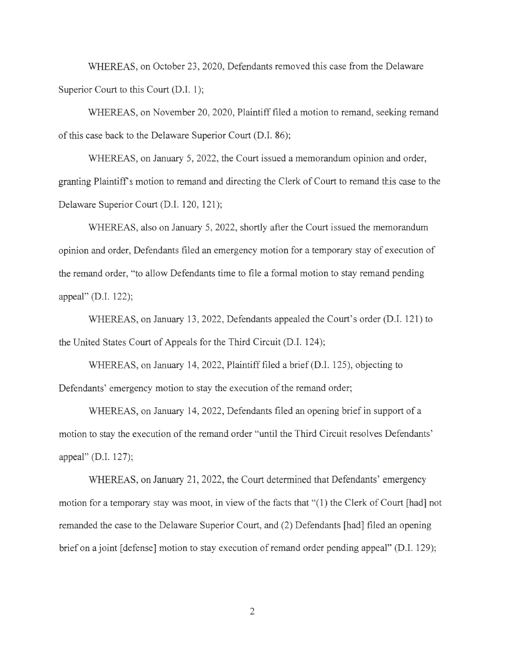WHEREAS, on October 23, 2020, Defendants removed this case from the Delaware Superior Court to this Court (D.I. 1);

WHEREAS, on November 20, 2020, Plaintiff filed a motion to remand, seeking remand of this case back to the Delaware Superior Court (D.I. 86);

WHEREAS, on January 5, 2022, the Court issued a memorandum opinion and order, granting Plaintiffs motion to remand and directing the Clerk of Court to remand this case to the Delaware Superior Court (D.I. 120, 121);

WHEREAS, also on January 5, 2022, shortly after the Court issued the memorandum opinion and order, Defendants filed an emergency motion for a temporary stay of execution of the remand order, "to allow Defendants time to file a formal motion to stay remand pending appeal" (D.I. 122);

WHEREAS, on January 13 , 2022, Defendants appealed the Court's order (D.I. 121) to the United States Court of Appeals for the Third Circuit (D.I. 124);

WHEREAS, on January 14, 2022, Plaintiff filed a brief(D.I. 125), objecting to Defendants' emergency motion to stay the execution of the remand order;

WHEREAS, on January 14, 2022, Defendants filed an opening brief in support of a motion to stay the execution of the remand order "until the Third Circuit resolves Defendants' appeal" (D.I. 127);

WHEREAS, on January 21, 2022, the Court determined that Defendants' emergency motion for a temporary stay was moot, in view of the facts that "(1) the Clerk of Court [had] not remanded the case to the Delaware Superior Court, and (2) Defendants [had] filed an opening brief on a joint [defense] motion to stay execution of remand order pending appeal" (D.I. 129);

2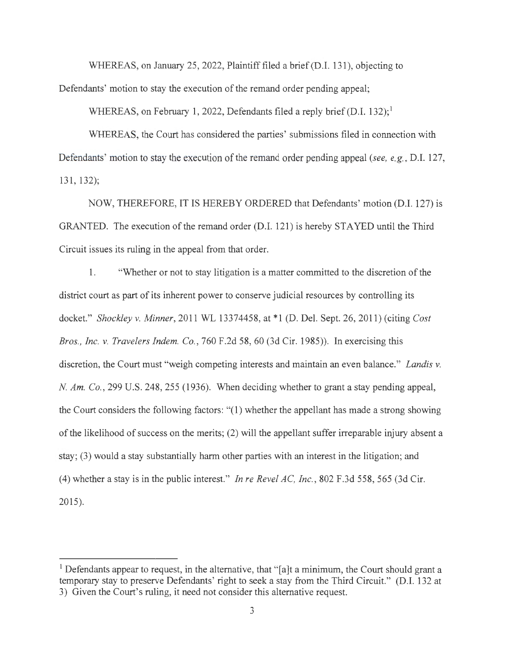WHEREAS, on January 25, 2022, Plaintiff filed a brief (D.I. 131), objecting to

Defendants' motion to stay the execution of the remand order pending appeal;

WHEREAS, on February 1, 2022, Defendants filed a reply brief (D.I. 132);<sup>1</sup>

WHEREAS, the Court has considered the parties' submissions filed in connection with Defendants' motion to stay the execution of the remand order pending appeal *(see, e.g. ,* D.I. 127, 131, 132);

NOW, THEREFORE, IT IS HEREBY ORDERED that Defendants' motion (D.I. 127) is GRANTED. The execution of the remand order (D.I. 121) is hereby STAYED until the Third Circuit issues its ruling in the appeal from that order.

1. "Whether or not to stay litigation is a matter committed to the discretion of the district court as part of its inherent power to conserve judicial resources by controlling its docket." *Shockley v. Minner,* 2011 WL 13374458, at\* 1 (D. Del. Sept. 26, 2011) (citing *Cost Bros., Inc. v. Travelers Indem. Co.,* 760 F.2d 58, 60 (3d Cir. 1985)). In exercising this discretion, the Court must "weigh competing interests and maintain an even balance." *Landis v. N. Am. Co.*, 299 U.S. 248, 255 (1936). When deciding whether to grant a stay pending appeal, the Court considers the following factors: "(1) whether the appellant has made a strong showing of the likelihood of success on the merits; (2) will the appellant suffer irreparable injury absent a stay; (3) would a stay substantially harm other parties with an interest in the litigation; and (4) whether a stay is in the public interest." *In re Revel AC, Inc.,* 802 F.3d 558, 565 (3d Cir. 2015).

<sup>&</sup>lt;sup>1</sup> Defendants appear to request, in the alternative, that " $[a]$ t a minimum, the Court should grant a temporary stay to preserve Defendants' right to seek a stay from the Third Circuit." (D.I. 132 at 3) Given the Court's ruling, it need not consider this alternative request.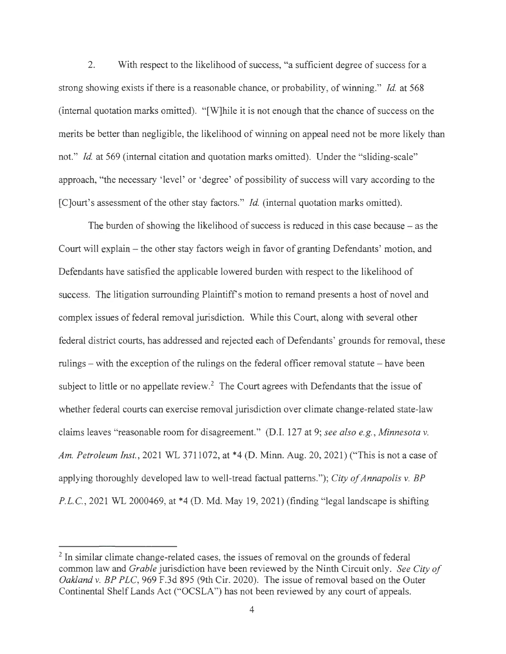2. With respect to the likelihood of success, "a sufficient degree of success for a strong showing exists ifthere is a reasonable chance, or probability, of winning." *Id* at 568 (internal quotation marks omitted). "[W]hile it is not enough that the chance of success on the merits be better than negligible, the likelihood of winning on appeal need not be more likely than not." *Id.* at 569 (internal citation and quotation marks omitted). Under the "sliding-scale" approach, "the necessary 'level' or 'degree' of possibility of success will vary according to the [C]ourt's assessment of the other stay factors." *Id.* (internal quotation marks omitted).

The burden of showing the likelihood of success is reduced in this case because  $-$  as the Court will explain - the other stay factors weigh in favor of granting Defendants' motion, and Defendants have satisfied the applicable lowered burden with respect to the likelihood of success. The litigation surrounding Plaintiff's motion to remand presents a host of novel and complex issues of federal removal jurisdiction. While this Court, along with several other federal district courts, has addressed and rejected each of Defendants' grounds for removal, these rulings – with the exception of the rulings on the federal officer removal statute – have been subject to little or no appellate review.<sup>2</sup> The Court agrees with Defendants that the issue of whether federal courts can exercise removal jurisdiction over climate change-related state-law claims leaves "reasonable room for disagreement." (D.I. 127 at 9; *see also e.g., Minnesota v. Am. Petroleum Inst.,* 2021 WL 3711072, at \*4 (D. Minn. Aug. 20, 2021) ("This is not a case of applying thoroughly developed law to well-tread factual patterns."); *City of Annapolis v. BP*  P.L.C., 2021 WL 2000469, at \*4 (D. Md. May 19, 2021) (finding "legal landscape is shifting

 $<sup>2</sup>$  In similar climate change-related cases, the issues of removal on the grounds of federal</sup> common law and *Grable* jurisdiction have been reviewed by the Ninth Circuit only. *See City of Oakland v. BP PLC*, 969 F.3d 895 (9th Cir. 2020). The issue of removal based on the Outer Continental Shelf Lands Act ("OCSLA") has not been reviewed by any court of appeals.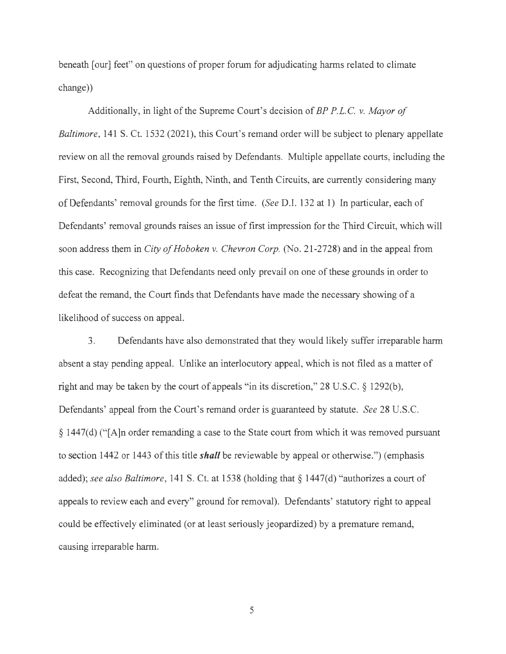beneath [our] feet" on questions of proper forum for adjudicating harms related to climate change))

Additionally, in light of the Supreme Court's decision of *BP P.L.C. v. Mayor of Baltimore*, 141 S. Ct. 1532 (2021), this Court's remand order will be subject to plenary appellate review on all the removal grounds raised by Defendants. Multiple appellate courts, including the First, Second, Third, Fourth, Eighth, Ninth, and Tenth Circuits, are currently considering many of Defendants' removal grounds for the first time. *(See* D.I. 132 at 1) In particular, each of Defendants' removal grounds raises an issue of first impression for the Third Circuit, which will soon address them in *City of Hoboken v. Chevron Corp.* (No. 21-2728) and in the appeal from this case. Recognizing that Defendants need only prevail on one of these grounds in order to defeat the remand, the Court finds that Defendants have made the necessary showing of a likelihood of success on appeal.

3. Defendants have also demonstrated that they would likely suffer irreparable harm absent a stay pending appeal. Unlike an interlocutory appeal, which is not filed as a matter of right and may be taken by the court of appeals "in its discretion,"  $28 \text{ U.S.C.} \& 1292(b)$ , Defendants' appeal from the Court's remand order is guaranteed by statute. *See* 28 U.S.C.  $\S 1447(d)$  ("[A]n order remanding a case to the State court from which it was removed pursuant to section 1442 or 1443 of this title *shall* be reviewable by appeal or otherwise.") (emphasis added); *see also Baltimore,* 141 S. Ct. at 1538 (holding that§ 1447(d) "authorizes a court of appeals to review each and every" ground for removal). Defendants' statutory right to appeal could be effectively eliminated (or at least seriously jeopardized) by a premature remand, causing irreparable harm.

5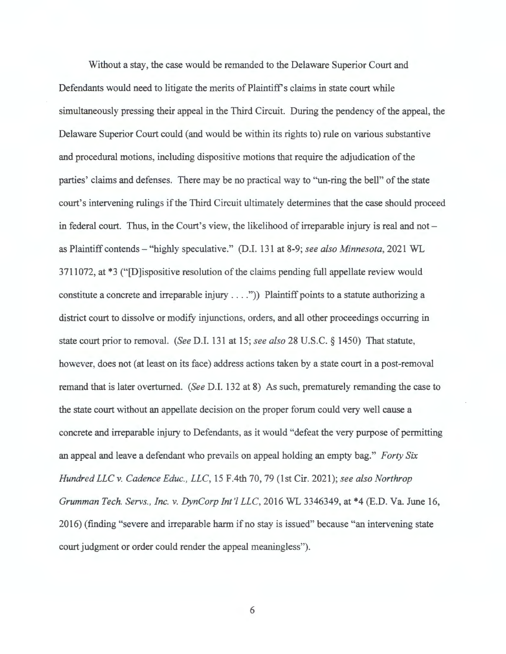Without a stay, the case would be remanded to the Delaware Superior Court and Defendants would need to litigate the merits of Plaintiff's claims in state court while simultaneously pressing their appeal in the Third Circuit. During the pendency of the appeal, the Delaware Superior Court could (and would be within its rights to) rule on various substantive and procedural motions, including dispositive motions that require the adjudication of the parties' claims and defenses. There may be no practical way to "un-ring the bell" of the state court's intervening rulings if the Third Circuit ultimately determines that the case should proceed in federal court. Thus, in the Court's view, the likelihood of irreparable injury is real and not  $$ as Plaintiff contends - "highly speculative." (D.I. 131 at 8-9; *see also Minnesota,* 2021 WL 3711072, at \*3 ("D ispositive resolution of the claims pending full appellate review would constitute a concrete and irreparable injury  $\dots$ ")) Plaintiff points to a statute authorizing a district court to dissolve or modify injunctions, orders, and all other proceedings occurring in state court prior to removal. *(See* D.I. 131 at 15; *see also* 28 U.S.C. § 1450) That statute, however, does not (at least on its face) address actions taken by a state court in a post-removal remand that is later overturned. *(See* D.I. 132 at 8) As such, prematurely remanding the case to the state court without an appellate decision on the proper forum could very well cause a concrete and irreparable injury to Defendants, as it would "defeat the very purpose of permitting an appeal and leave a defendant who prevails on appeal holding an empty bag." *Forty Six Hundred LLC v. Cadence Educ. , LLC,* 15 F.4th 70, 79 (1st Cir. 2021); *see also Northrop Grumman Tech. Servs. , Inc. v. DynCorp Int'! LLC,* 2016 WL 3346349, at \*4 (E.D. Va. June 16, 2016) (finding "severe and irreparable harm if no stay is issued" because "an intervening state court judgment or order could render the appeal meaningless").

6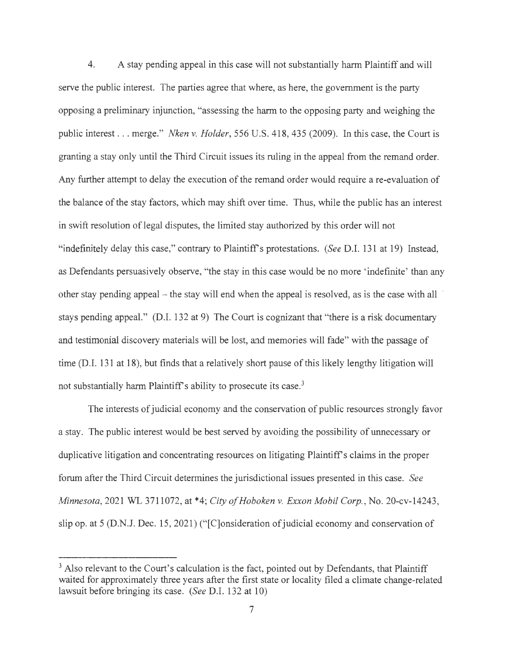4. A stay pending appeal in this case will not substantially harm Plaintiff and will serve the public interest. The parties agree that where, as here, the government is the party opposing a preliminary injunction, "assessing the harm to the opposing party and weighing the public interest ... merge." *Nken v. Holder,* 556 U.S. 418, 435 (2009). In this case, the Court is granting a stay only until the Third Circuit issues its ruling in the appeal from the remand order. Any further attempt to delay the execution of the remand order would require a re-evaluation of the balance of the stay factors, which may shift over time. Thus, while the public has an interest in swift resolution of legal disputes, the limited stay authorized by this order will not "indefinitely delay this case," contrary to Plaintiff's protestations. *(See D.I. 131 at 19)* Instead, as Defendants persuasively observe, "the stay in this case would be no more 'indefinite' than any other stay pending appeal – the stay will end when the appeal is resolved, as is the case with all stays pending appeal." (D.I. 132 at 9) The Court is cognizant that "there is a risk documentary and testimonial discovery materials will be lost, and memories will fade" with the passage of time (D.I. 131 at 18), but finds that a relatively short pause of this likely lengthy litigation will not substantially harm Plaintiff's ability to prosecute its case.<sup>3</sup>

The interests of judicial economy and the conservation of public resources strongly favor a stay. The public interest would be best served by avoiding the possibility of unnecessary or duplicative litigation and concentrating resources on litigating Plaintiffs claims in the proper forum after the Third Circuit determines the jurisdictional issues presented in this case. *See Minnesota,* 2021 WL 3711072, at \*4; *City of Hoboken v. Exxon Mobil Corp.,* No. 20-cv-14243, slip op. at 5 (D.N.J. Dec. 15, 2021) ("[C]onsideration of judicial economy and conservation of

<sup>&</sup>lt;sup>3</sup> Also relevant to the Court's calculation is the fact, pointed out by Defendants, that Plaintiff waited for approximately three years after the first state or locality filed a climate change-related lawsuit before bringing its case. *(See* D.I. 132 at 10)